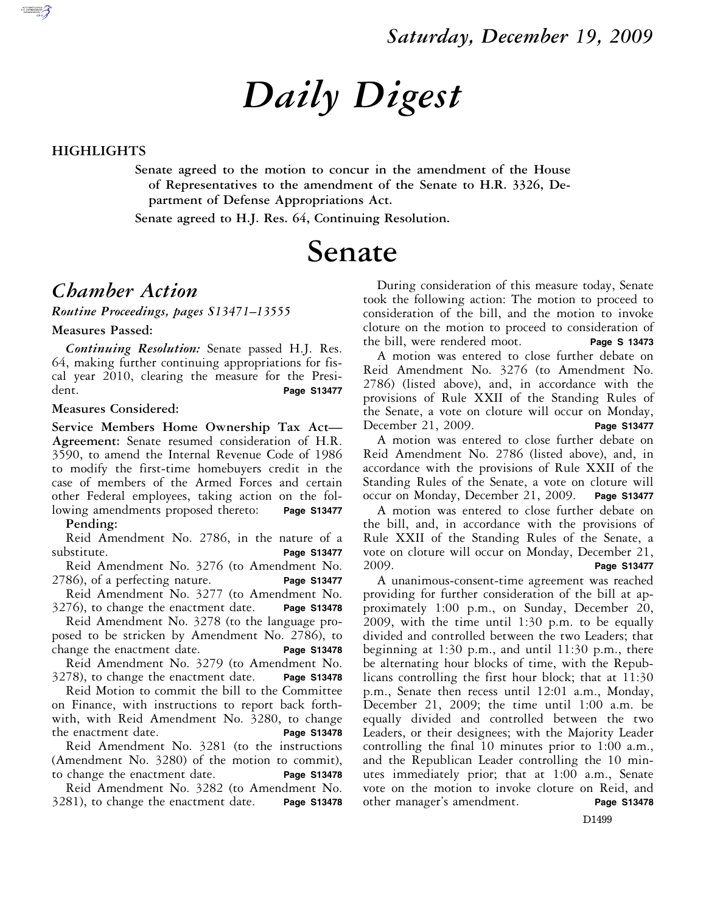# *Daily Digest*

#### **HIGHLIGHTS**

**Senate agreed to the motion to concur in the amendment of the House of Representatives to the amendment of the Senate to H.R. 3326, Department of Defense Appropriations Act.** 

**Senate agreed to H.J. Res. 64, Continuing Resolution.** 

# **Senate**

#### *Chamber Action*

*Routine Proceedings, pages S13471–13555* 

**Measures Passed:** 

*Continuing Resolution:* Senate passed H.J. Res. 64, making further continuing appropriations for fiscal year 2010, clearing the measure for the President. **Page S13477** 

#### **Measures Considered:**

**Service Members Home Ownership Tax Act— Agreement:** Senate resumed consideration of H.R. 3590, to amend the Internal Revenue Code of 1986 to modify the first-time homebuyers credit in the case of members of the Armed Forces and certain other Federal employees, taking action on the following amendments proposed thereto: **Page S13477** 

**Pending:** 

Reid Amendment No. 2786, in the nature of a substitute. **Page S13477** 

Reid Amendment No. 3276 (to Amendment No. 2786), of a perfecting nature. **Page S13477** 

Reid Amendment No. 3277 (to Amendment No. 3276), to change the enactment date. **Page S13478** 

Reid Amendment No. 3278 (to the language proposed to be stricken by Amendment No. 2786), to change the enactment date. **Page S13478** 

Reid Amendment No. 3279 (to Amendment No. 3278), to change the enactment date. **Page S13478** 

Reid Motion to commit the bill to the Committee on Finance, with instructions to report back forthwith, with Reid Amendment No. 3280, to change the enactment date. **Page S13478** 

Reid Amendment No. 3281 (to the instructions (Amendment No. 3280) of the motion to commit), to change the enactment date. **Page S13478** 

Reid Amendment No. 3282 (to Amendment No. 3281), to change the enactment date. **Page S13478** 

During consideration of this measure today, Senate took the following action: The motion to proceed to consideration of the bill, and the motion to invoke cloture on the motion to proceed to consideration of the bill, were rendered moot. **Page S 13473** 

A motion was entered to close further debate on Reid Amendment No. 3276 (to Amendment No. 2786) (listed above), and, in accordance with the provisions of Rule XXII of the Standing Rules of the Senate, a vote on cloture will occur on Monday, December 21, 2009. **Page S13477** 

A motion was entered to close further debate on Reid Amendment No. 2786 (listed above), and, in accordance with the provisions of Rule XXII of the Standing Rules of the Senate, a vote on cloture will occur on Monday, December 21, 2009. **Page S13477** 

A motion was entered to close further debate on the bill, and, in accordance with the provisions of Rule XXII of the Standing Rules of the Senate, a vote on cloture will occur on Monday, December 21, 2009. **Page S13477** 

A unanimous-consent-time agreement was reached providing for further consideration of the bill at approximately 1:00 p.m., on Sunday, December 20, 2009, with the time until 1:30 p.m. to be equally divided and controlled between the two Leaders; that beginning at 1:30 p.m., and until 11:30 p.m., there be alternating hour blocks of time, with the Republicans controlling the first hour block; that at 11:30 p.m., Senate then recess until 12:01 a.m., Monday, December 21, 2009; the time until 1:00 a.m. be equally divided and controlled between the two Leaders, or their designees; with the Majority Leader controlling the final 10 minutes prior to 1:00 a.m., and the Republican Leader controlling the 10 minutes immediately prior; that at 1:00 a.m., Senate vote on the motion to invoke cloture on Reid, and other manager's amendment. **Page S13478**